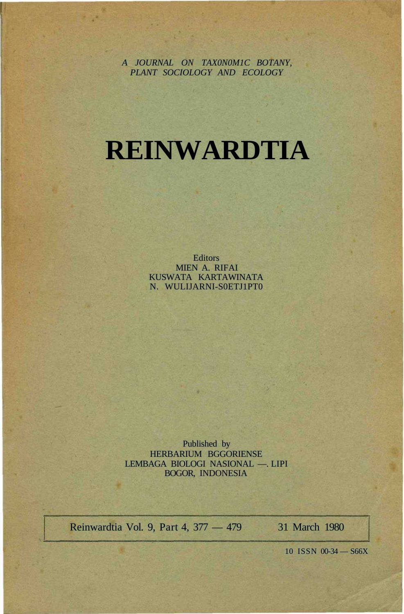*A JOURNAL ON TAX0N0M1C BOTANY, PLANT SOCIOLOGY AND ECOLOGY*

# **REINWARDTIA**

**Editors** MIEN A. RIFAI KUSWATA KARTAWINATA N. WULIJARNI-S0ETJ1PT0

Published by HERBARIUM BGGORIENSE LEMBAGA BIOLOGI NASIONAL —. LIPI BOGOR, INDONESIA

Reinwardtia Vol. 9, Part 4, 377 — 479 31 March 1980

10 ISSN 00-34 — S66X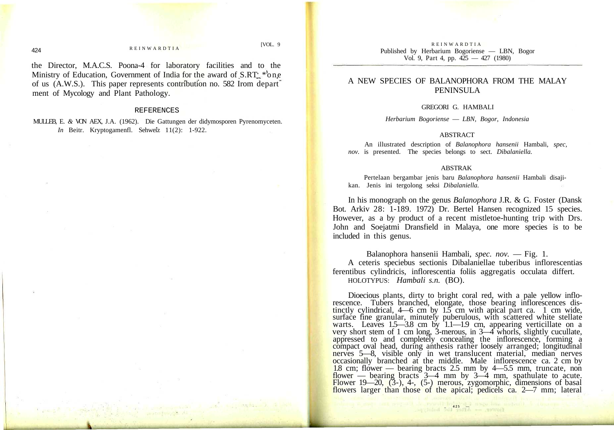#### **REINWARDTIA**

[VOL. 9

the Director, M.A.C.S. Poona-4 for laboratory facilities and to the Ministry of Education, Government of India for the award of  $S.RT$  \*one of us (A.W.S.). This paper represents contribution no. 582 Irom depart ment of Mycology and Plant Pathology.

#### REFERENCES

MULLEB, E. *&* VON AEX, J.A. (1962). Die Gattungen der didymosporen Pyrenomyceten. *In* Beitr. Kryptogamenfl. Sehweiz 11(2): 1-922.

**REINWARDTIA** Published by Herbarium Bogoriense — LBN, Bogor Vol. 9, Part 4, pp. 425 — 427 (1980)

# A NEW SPECIES OF BALANOPHORA FROM THE MALAY PENINSULA

#### GREGORI G. HAMBALI

*Herbarium Bogoriense* — *LBN, Bogor, Indonesia*

## ABSTRACT

An illustrated description of *Balanophora hansenii* Hambali, *spec, nov.* is presented. The species belongs to sect. *Dibalaniella.*

### ABSTRAK

Pertelaan bergambar jenis baru *Balanophora hansenii* Hambali disajikan. Jenis ini tergolong seksi *Dibalaniella.*

In his monograph on the genus *Balanophora* J.R. & G. Foster (Dansk Bot. Arkiv 28: 1-189. 1972) Dr. Bertel Hansen recognized 15 species. However, as a by product of a recent mistletoe-hunting trip with Drs. John and Soejatmi Dransfield in Malaya, one more species is to be included in this genus.

Balanophora hansenii Hambali, *spec. nov.* — Fig. 1. A ceteris speciebus sectionis Dibalaniellae tuberibus inflorescentias ferentibus cylindricis, inflorescentia foliis aggregatis occulata differt. HOLOTYPUS: *Hambali s.n.* (BO).

Dioecious plants, dirty to bright coral red, with a pale yellow inflorescence. Tubers branched, elongate, those bearing inflorescences distinctly cylindrical,  $4-6$  cm by  $15$  cm with apical part ca. 1 cm wide, surface fine granular, minutely puberulous, with scattered white stellate warts. Leaves 1.5—3.8 cm by 1.1—1.9 cm, appearing verticillate on a very short stem of 1 cm long, 3-merous, in 3—4 whorls, slightly cucullate, appressed to and completely concealing the inflorescence, forming a compact oval head, during anthesis rather loosely arranged; longitudinal nerves 5—8, visible only in wet translucent material, median nerves occasionally branched at the middle. Male inflorescence ca. 2 cm by 1.8 cm; flower — bearing bracts 2.5 mm by 4—5.5 mm, truncate, non flower — bearing bracts  $3-4$  mm by  $3-4$  mm, spathulate to acute. Flower 19—20, (3-), 4-, (5-) merous, zygomorphic, dimensions of basal flowers larger than those of the apical; pedicels ca. 2—7 mm; lateral

**425 425 425 426 427 1990 428 428 428 428 428 428 428 428 448 448 448 448 448 448 448 448 448 448 448 448 448 448 448 448 448 448 448 448 448 448 448**

424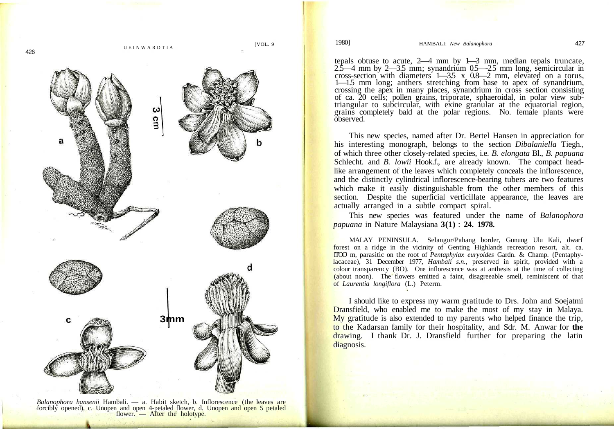

*Balanophora hansenii* Hambali. — a. Habit sketch, b. Inflorescence (the leaves are forcibly opened), c. Unopen and open 4-petaled flower, d. Unopen and open 5 petaled flower. — After the holotype.

tepals obtuse to acute, 2—4 mm by 1—3 mm, median tepals truncate, 2.5—4 mm by 2—3.5 mm; synandrium 0.5—-2.5 mm long, semicircular in cross-section with diameters 1—3.5 x 0.8—2 mm, elevated on a torus, 1—1.5 mm long; anthers stretching from base to apex of synandrium, crossing the apex in many places, synandrium in cross section consisting of ca. 20 cells; pollen grains, triporate, sphaeroidal, in polar view subtriangular to subcircular, with exine granular at the equatorial region, grains completely bald at the polar regions. No. female plants were observed.

This new species, named after Dr. Bertel Hansen in appreciation for his interesting monograph, belongs to the section *Dibalaniella* Tiegh., of which three other closely-related species, i.e. *B. elongata* Bl., *B. papuana* Schlecht. and *B. lowii* Hook.f., are already known. The compact headlike arrangement of the leaves which completely conceals the inflorescence, and the distinctly cylindrical inflorescence-bearing tubers are two features which make it easily distinguishable from the other members of this section. Despite the superficial verticillate appearance, the leaves are actually arranged in a subtle compact spiral.

This new species was featured under the name of *Balanophora papuana* in Nature Malaysiana **3(1)** : **24. 1978.**

MALAY PENINSULA. Selangor/Pahang border, Gunung Ulu Kali, dwarf forest on a ridge in the vicinity of Genting Highlands recreation resort, alt. ca. IT'OO' m, parasitic on the root of *Pentaphylax euryoides* Gardn. & Champ. (Pentaphylacaceae), 31 December 1977, *Hambali s.n.,* preserved in spirit, provided with a colour transparency (BO). One inflorescence was at anthesis at the time of collecting (about noon). The flowers emitted a faint, disagreeable smell, reminiscent of that of *Laurentia longiflora* (L.) Peterm.

I should like to express my warm gratitude to Drs. John and Soejatmi Dransfield, who enabled me to make the most of my stay in Malaya. My gratitude is also extended to my parents who helped finance the trip, to the Kadarsan family for their hospitality, and Sdr. M. Anwar for **the** drawing. I thank Dr. J. Dransfield further for preparing the latin diagnosis.